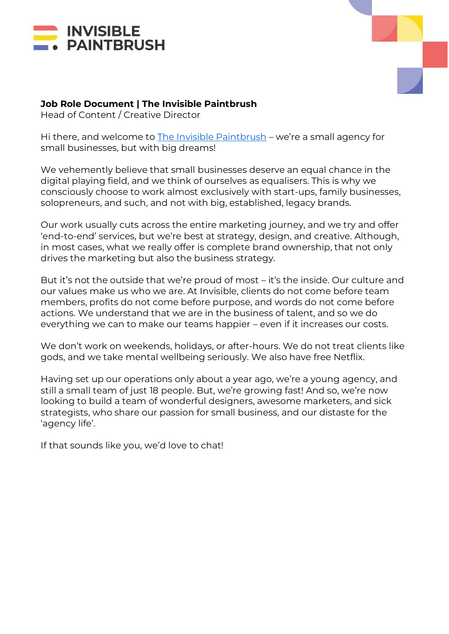



## **Job Role Document | The Invisible Paintbrush**

Head of Content / Creative Director

Hi there, and welcome to [The Invisible Paintbrush](http://www.theinvisiblepaintbrush.com/) – we're a small agency for small businesses, but with big dreams!

We vehemently believe that small businesses deserve an equal chance in the digital playing field, and we think of ourselves as equalisers. This is why we consciously choose to work almost exclusively with start-ups, family businesses, solopreneurs, and such, and not with big, established, legacy brands.

Our work usually cuts across the entire marketing journey, and we try and offer 'end-to-end' services, but we're best at strategy, design, and creative. Although, in most cases, what we really offer is complete brand ownership, that not only drives the marketing but also the business strategy.

But it's not the outside that we're proud of most – it's the inside. Our culture and our values make us who we are. At Invisible, clients do not come before team members, profits do not come before purpose, and words do not come before actions. We understand that we are in the business of talent, and so we do everything we can to make our teams happier – even if it increases our costs.

We don't work on weekends, holidays, or after-hours. We do not treat clients like gods, and we take mental wellbeing seriously. We also have free Netflix.

Having set up our operations only about a year ago, we're a young agency, and still a small team of just 18 people. But, we're growing fast! And so, we're now looking to build a team of wonderful designers, awesome marketers, and sick strategists, who share our passion for small business, and our distaste for the 'agency life'.

If that sounds like you, we'd love to chat!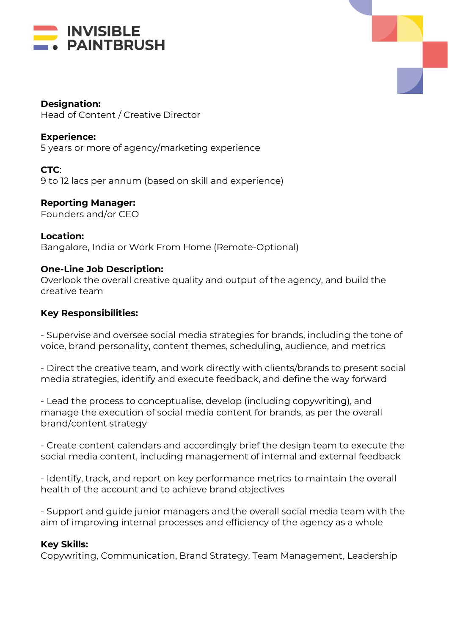



**Designation:**  Head of Content / Creative Director

**Experience:** 5 years or more of agency/marketing experience

**CTC**: 9 to 12 lacs per annum (based on skill and experience)

**Reporting Manager:** Founders and/or CEO

**Location:** Bangalore, India or Work From Home (Remote-Optional)

# **One-Line Job Description:**

Overlook the overall creative quality and output of the agency, and build the creative team

### **Key Responsibilities:**

- Supervise and oversee social media strategies for brands, including the tone of voice, brand personality, content themes, scheduling, audience, and metrics

- Direct the creative team, and work directly with clients/brands to present social media strategies, identify and execute feedback, and define the way forward

- Lead the process to conceptualise, develop (including copywriting), and manage the execution of social media content for brands, as per the overall brand/content strategy

- Create content calendars and accordingly brief the design team to execute the social media content, including management of internal and external feedback

- Identify, track, and report on key performance metrics to maintain the overall health of the account and to achieve brand objectives

- Support and guide junior managers and the overall social media team with the aim of improving internal processes and efficiency of the agency as a whole

#### **Key Skills:**

Copywriting, Communication, Brand Strategy, Team Management, Leadership